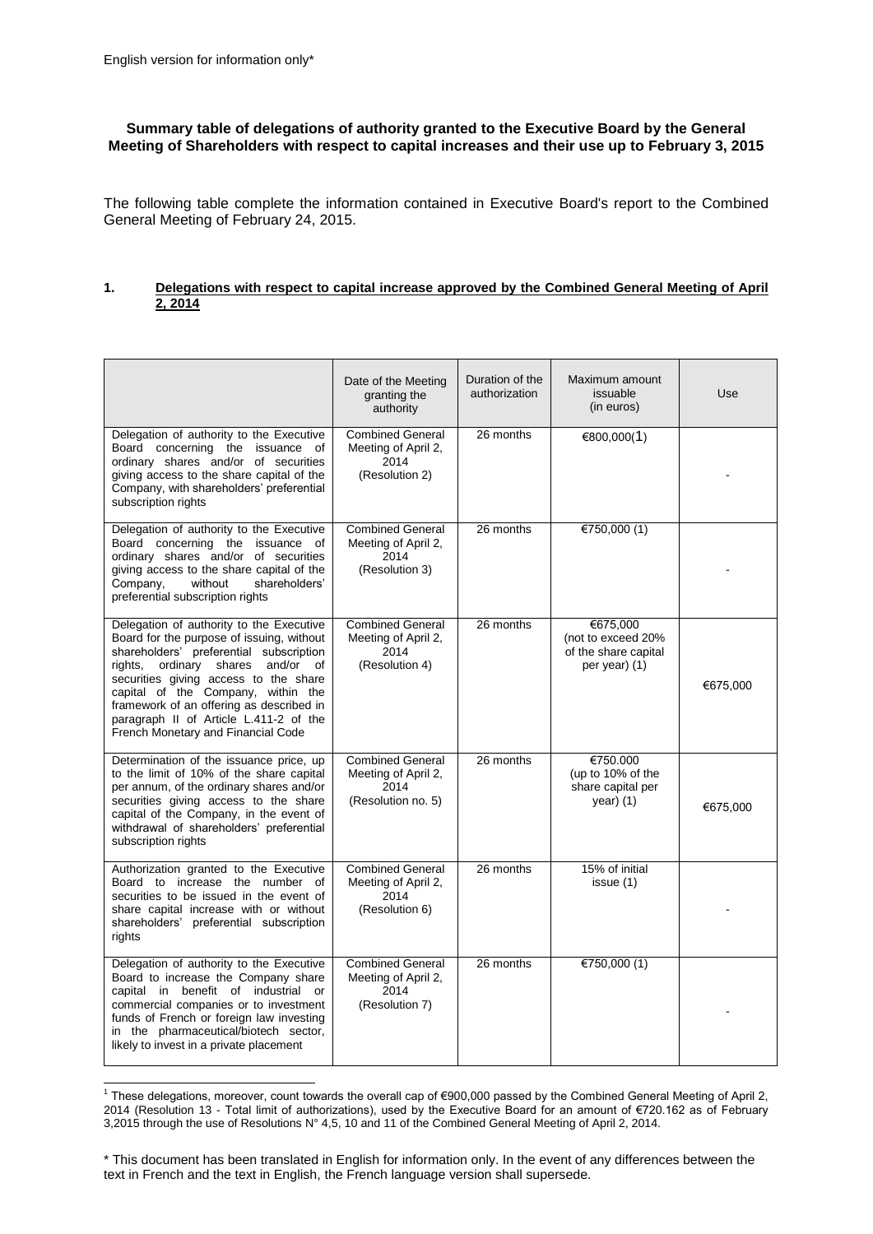## **Summary table of delegations of authority granted to the Executive Board by the General Meeting of Shareholders with respect to capital increases and their use up to February 3, 2015**

The following table complete the information contained in Executive Board's report to the Combined General Meeting of February 24, 2015.

## **1. Delegations with respect to capital increase approved by the Combined General Meeting of April 2, 2014**

|                                                                                                                                                                                                                                                                                                                                                                                           | Date of the Meeting<br>granting the<br>authority                             | Duration of the<br>authorization | Maximum amount<br>issuable<br>(in euros)                                   | Use      |
|-------------------------------------------------------------------------------------------------------------------------------------------------------------------------------------------------------------------------------------------------------------------------------------------------------------------------------------------------------------------------------------------|------------------------------------------------------------------------------|----------------------------------|----------------------------------------------------------------------------|----------|
| Delegation of authority to the Executive<br>Board concerning the issuance of<br>ordinary shares and/or of securities<br>giving access to the share capital of the<br>Company, with shareholders' preferential<br>subscription rights                                                                                                                                                      | <b>Combined General</b><br>Meeting of April 2,<br>2014<br>(Resolution 2)     | 26 months                        | €800,000(1)                                                                |          |
| Delegation of authority to the Executive<br>Board concerning the issuance of<br>ordinary shares and/or of securities<br>giving access to the share capital of the<br>Company,<br>without<br>shareholders'<br>preferential subscription rights                                                                                                                                             | <b>Combined General</b><br>Meeting of April 2.<br>2014<br>(Resolution 3)     | 26 months                        | €750,000 $(1)$                                                             |          |
| Delegation of authority to the Executive<br>Board for the purpose of issuing, without<br>shareholders' preferential subscription<br>and/or<br>rights,<br>ordinary shares<br>of<br>securities giving access to the share<br>capital of the Company, within the<br>framework of an offering as described in<br>paragraph II of Article L.411-2 of the<br>French Monetary and Financial Code | <b>Combined General</b><br>Meeting of April 2,<br>2014<br>(Resolution 4)     | 26 months                        | €675,000<br>(not to exceed 20%<br>of the share capital<br>per year) (1)    | €675,000 |
| Determination of the issuance price, up<br>to the limit of 10% of the share capital<br>per annum, of the ordinary shares and/or<br>securities giving access to the share<br>capital of the Company, in the event of<br>withdrawal of shareholders' preferential<br>subscription rights                                                                                                    | <b>Combined General</b><br>Meeting of April 2,<br>2014<br>(Resolution no. 5) | 26 months                        | €750.000<br>(up to 10% of the<br>share capital per<br>$\gamma$ ear $)$ (1) | €675,000 |
| Authorization granted to the Executive<br>Board to increase the number of<br>securities to be issued in the event of<br>share capital increase with or without<br>shareholders' preferential subscription<br>rights                                                                                                                                                                       | <b>Combined General</b><br>Meeting of April 2,<br>2014<br>(Resolution 6)     | 26 months                        | 15% of initial<br>issue (1)                                                |          |
| Delegation of authority to the Executive<br>Board to increase the Company share<br>capital in benefit of industrial or<br>commercial companies or to investment<br>funds of French or foreign law investing<br>in the pharmaceutical/biotech sector,<br>likely to invest in a private placement                                                                                           | <b>Combined General</b><br>Meeting of April 2,<br>2014<br>(Resolution 7)     | 26 months                        | €750,000 $(1)$                                                             |          |

 1 These delegations, moreover, count towards the overall cap of €900,000 passed by the Combined General Meeting of April 2, 2014 (Resolution 13 - Total limit of authorizations), used by the Executive Board for an amount of €720.162 as of February 3,2015 through the use of Resolutions N° 4,5, 10 and 11 of the Combined General Meeting of April 2, 2014.

<sup>\*</sup> This document has been translated in English for information only. In the event of any differences between the text in French and the text in English, the French language version shall supersede.